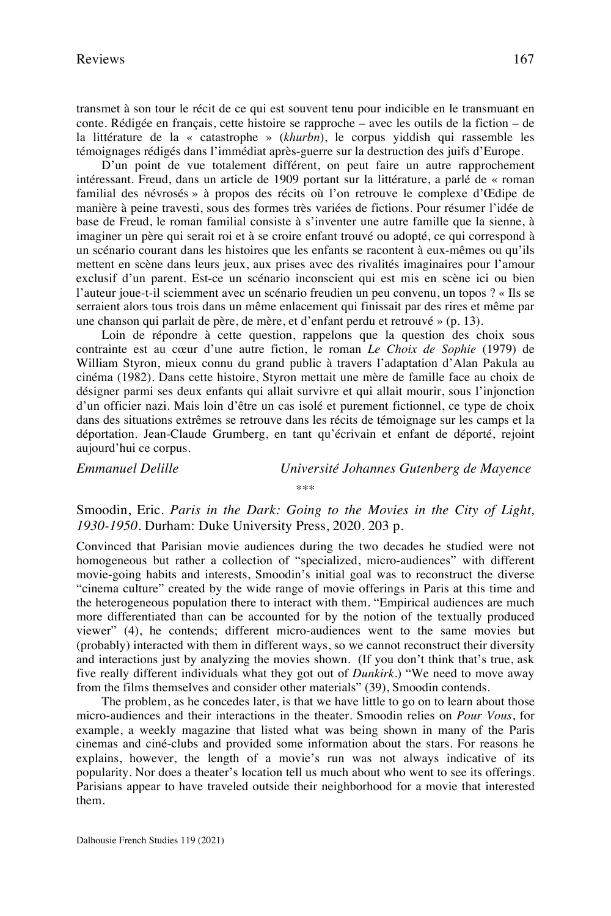transmet à son tour le récit de ce qui est souvent tenu pour indicible en le transmuant en conte. Rédigée en français, cette histoire se rapproche – avec les outils de la fiction – de la littérature de la « catastrophe » (*khurbn*), le corpus yiddish qui rassemble les témoignages rédigés dans l'immédiat après-guerre sur la destruction des juifs d'Europe.

D'un point de vue totalement différent, on peut faire un autre rapprochement intéressant. Freud, dans un article de 1909 portant sur la littérature, a parlé de « roman familial des névrosés » à propos des récits où l'on retrouve le complexe d'Œdipe de manière à peine travesti, sous des formes très variées de fictions. Pour résumer l'idée de base de Freud, le roman familial consiste à s'inventer une autre famille que la sienne, à imaginer un père qui serait roi et à se croire enfant trouvé ou adopté, ce qui correspond à un scénario courant dans les histoires que les enfants se racontent à eux-mêmes ou qu'ils mettent en scène dans leurs jeux, aux prises avec des rivalités imaginaires pour l'amour exclusif d'un parent. Est-ce un scénario inconscient qui est mis en scène ici ou bien l'auteur joue-t-il sciemment avec un scénario freudien un peu convenu, un topos ? « Ils se serraient alors tous trois dans un même enlacement qui finissait par des rires et même par une chanson qui parlait de père, de mère, et d'enfant perdu et retrouvé » (p. 13).

Loin de répondre à cette question, rappelons que la question des choix sous contrainte est au cœur d'une autre fiction, le roman *Le Choix de Sophie* (1979) de William Styron, mieux connu du grand public à travers l'adaptation d'Alan Pakula au cinéma (1982). Dans cette histoire, Styron mettait une mère de famille face au choix de désigner parmi ses deux enfants qui allait survivre et qui allait mourir, sous l'injonction d'un officier nazi. Mais loin d'être un cas isolé et purement fictionnel, ce type de choix dans des situations extrêmes se retrouve dans les récits de témoignage sur les camps et la déportation. Jean-Claude Grumberg, en tant qu'écrivain et enfant de déporté, rejoint aujourd'hui ce corpus.

*Emmanuel Delille Université Johannes Gutenberg de Mayence*

\*\*\*

Smoodin, Eric. *Paris in the Dark: Going to the Movies in the City of Light, 1930-1950*. Durham: Duke University Press, 2020. 203 p.

Convinced that Parisian movie audiences during the two decades he studied were not homogeneous but rather a collection of "specialized, micro-audiences" with different movie-going habits and interests, Smoodin's initial goal was to reconstruct the diverse "cinema culture" created by the wide range of movie offerings in Paris at this time and the heterogeneous population there to interact with them. "Empirical audiences are much more differentiated than can be accounted for by the notion of the textually produced viewer" (4), he contends; different micro-audiences went to the same movies but (probably) interacted with them in different ways, so we cannot reconstruct their diversity and interactions just by analyzing the movies shown. (If you don't think that's true, ask five really different individuals what they got out of *Dunkirk*.) "We need to move away from the films themselves and consider other materials" (39), Smoodin contends.

The problem, as he concedes later, is that we have little to go on to learn about those micro-audiences and their interactions in the theater. Smoodin relies on *Pour Vous*, for example, a weekly magazine that listed what was being shown in many of the Paris cinemas and ciné-clubs and provided some information about the stars. For reasons he explains, however, the length of a movie's run was not always indicative of its popularity. Nor does a theater's location tell us much about who went to see its offerings. Parisians appear to have traveled outside their neighborhood for a movie that interested them.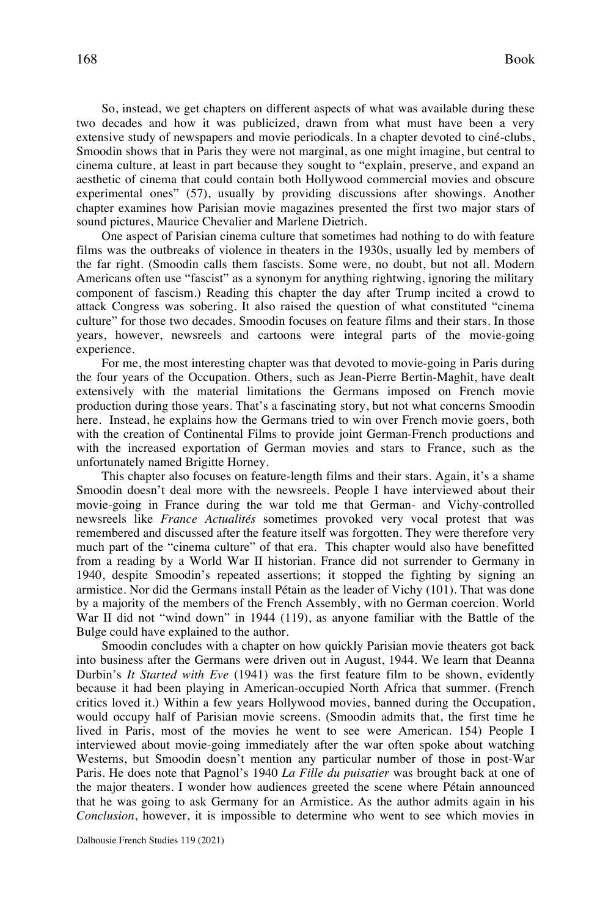So, instead, we get chapters on different aspects of what was available during these two decades and how it was publicized, drawn from what must have been a very extensive study of newspapers and movie periodicals. In a chapter devoted to ciné-clubs, Smoodin shows that in Paris they were not marginal, as one might imagine, but central to cinema culture, at least in part because they sought to "explain, preserve, and expand an aesthetic of cinema that could contain both Hollywood commercial movies and obscure experimental ones" (57), usually by providing discussions after showings. Another chapter examines how Parisian movie magazines presented the first two major stars of sound pictures, Maurice Chevalier and Marlene Dietrich.

One aspect of Parisian cinema culture that sometimes had nothing to do with feature films was the outbreaks of violence in theaters in the 1930s, usually led by members of the far right. (Smoodin calls them fascists. Some were, no doubt, but not all. Modern Americans often use "fascist" as a synonym for anything rightwing, ignoring the military component of fascism.) Reading this chapter the day after Trump incited a crowd to attack Congress was sobering. It also raised the question of what constituted "cinema culture" for those two decades. Smoodin focuses on feature films and their stars. In those years, however, newsreels and cartoons were integral parts of the movie-going experience.

For me, the most interesting chapter was that devoted to movie-going in Paris during the four years of the Occupation. Others, such as Jean-Pierre Bertin-Maghit, have dealt extensively with the material limitations the Germans imposed on French movie production during those years. That's a fascinating story, but not what concerns Smoodin here. Instead, he explains how the Germans tried to win over French movie goers, both with the creation of Continental Films to provide joint German-French productions and with the increased exportation of German movies and stars to France, such as the unfortunately named Brigitte Horney.

This chapter also focuses on feature-length films and their stars. Again, it's a shame Smoodin doesn't deal more with the newsreels. People I have interviewed about their movie-going in France during the war told me that German- and Vichy-controlled newsreels like *France Actualités* sometimes provoked very vocal protest that was remembered and discussed after the feature itself was forgotten. They were therefore very much part of the "cinema culture" of that era. This chapter would also have benefitted from a reading by a World War II historian. France did not surrender to Germany in 1940, despite Smoodin's repeated assertions; it stopped the fighting by signing an armistice. Nor did the Germans install Pétain as the leader of Vichy (101). That was done by a majority of the members of the French Assembly, with no German coercion. World War II did not "wind down" in 1944 (119), as anyone familiar with the Battle of the Bulge could have explained to the author.

Smoodin concludes with a chapter on how quickly Parisian movie theaters got back into business after the Germans were driven out in August, 1944. We learn that Deanna Durbin's *It Started with Eve* (1941) was the first feature film to be shown, evidently because it had been playing in American-occupied North Africa that summer. (French critics loved it.) Within a few years Hollywood movies, banned during the Occupation, would occupy half of Parisian movie screens. (Smoodin admits that, the first time he lived in Paris, most of the movies he went to see were American. 154) People I interviewed about movie-going immediately after the war often spoke about watching Westerns, but Smoodin doesn't mention any particular number of those in post-War Paris. He does note that Pagnol's 1940 *La Fille du puisatier* was brought back at one of the major theaters. I wonder how audiences greeted the scene where Pétain announced that he was going to ask Germany for an Armistice. As the author admits again in his *Conclusion*, however, it is impossible to determine who went to see which movies in